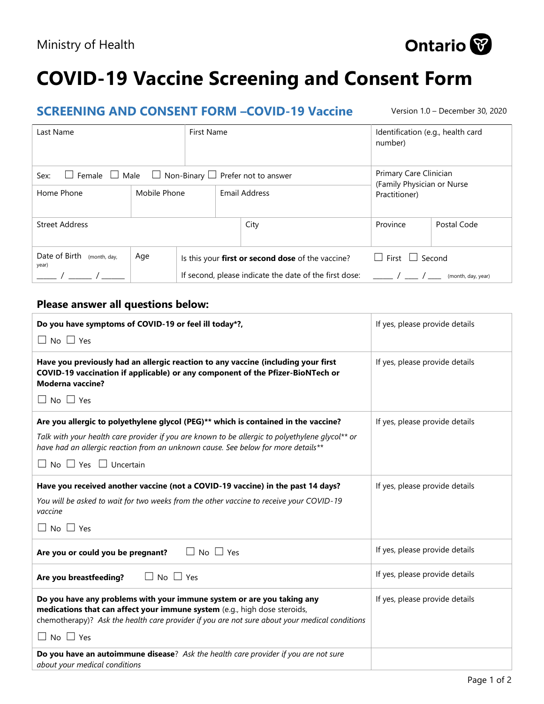

| ------                                                                             |              |                                                   |  |                                                        |                                                      |                    |
|------------------------------------------------------------------------------------|--------------|---------------------------------------------------|--|--------------------------------------------------------|------------------------------------------------------|--------------------|
| Last Name                                                                          | First Name   |                                                   |  | Identification (e.g., health card<br>number)           |                                                      |                    |
| $\Box$ Non-Binary $\Box$ Prefer not to answer<br>$\Box$ Female $\Box$ Male<br>Sex: |              |                                                   |  |                                                        | Primary Care Clinician<br>(Family Physician or Nurse |                    |
| Home Phone                                                                         | Mobile Phone |                                                   |  | Email Address                                          | Practitioner)                                        |                    |
| <b>Street Address</b>                                                              |              |                                                   |  | City                                                   | Province                                             | Postal Code        |
| Date of Birth (month, day,<br>year)                                                | Age          | Is this your first or second dose of the vaccine? |  |                                                        | $\Box$ First $\Box$ Second                           |                    |
|                                                                                    |              |                                                   |  | If second, please indicate the date of the first dose: |                                                      | (month, day, year) |

If second, please indicate the date of the first dose:  $\frac{1}{\sqrt{1-\lambda}}$  / \_\_\_ / \_\_\_ (month, day, year)

## **Please answer all questions below:**

| Do you have symptoms of COVID-19 or feel ill today*?,                                                                                                                                                                                                                        | If yes, please provide details |
|------------------------------------------------------------------------------------------------------------------------------------------------------------------------------------------------------------------------------------------------------------------------------|--------------------------------|
| $\Box$ No $\Box$ Yes                                                                                                                                                                                                                                                         |                                |
| Have you previously had an allergic reaction to any vaccine (including your first<br>COVID-19 vaccination if applicable) or any component of the Pfizer-BioNTech or<br><b>Moderna vaccine?</b>                                                                               | If yes, please provide details |
| $\Box$ No $\Box$ Yes                                                                                                                                                                                                                                                         |                                |
| Are you allergic to polyethylene glycol (PEG)** which is contained in the vaccine?                                                                                                                                                                                           | If yes, please provide details |
| Talk with your health care provider if you are known to be allergic to polyethylene glycol** or<br>have had an allergic reaction from an unknown cause. See below for more details**                                                                                         |                                |
| $\Box$ No $\Box$ Yes $\Box$ Uncertain                                                                                                                                                                                                                                        |                                |
| Have you received another vaccine (not a COVID-19 vaccine) in the past 14 days?                                                                                                                                                                                              | If yes, please provide details |
| You will be asked to wait for two weeks from the other vaccine to receive your COVID-19<br>vaccine                                                                                                                                                                           |                                |
| $\Box$ No $\Box$ Yes                                                                                                                                                                                                                                                         |                                |
| $\Box$ No $\Box$ Yes<br>Are you or could you be pregnant?                                                                                                                                                                                                                    | If yes, please provide details |
| $\Box$ No $\Box$ Yes<br>Are you breastfeeding?                                                                                                                                                                                                                               | If yes, please provide details |
| Do you have any problems with your immune system or are you taking any<br>medications that can affect your immune system (e.g., high dose steroids,<br>chemotherapy)? Ask the health care provider if you are not sure about your medical conditions<br>$\Box$ No $\Box$ Yes | If yes, please provide details |
|                                                                                                                                                                                                                                                                              |                                |
| Do you have an autoimmune disease? Ask the health care provider if you are not sure<br>about your medical conditions                                                                                                                                                         |                                |



**SCREENING AND CONSENT FORM –COVID-19 Vaccine** Version 1.0 – December 30, 2020